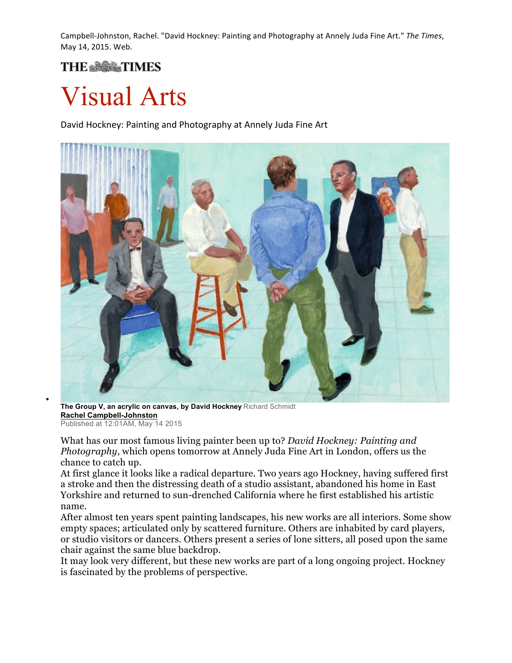Campbell-Johnston, Rachel. "David Hockney: Painting and Photography at Annely Juda Fine Art." *The Times*, May 14, 2015. Web.

## **THE SUBAR TIMES**

## Visual Arts

David Hockney: Painting and Photography at Annely Juda Fine Art



• **The Group V, an acrylic on canvas, by David Hockney** Richard Schmidt **Rachel Campbell-Johnston** Published at 12:01AM, May 14 2015

What has our most famous living painter been up to? *David Hockney: Painting and Photography*, which opens tomorrow at Annely Juda Fine Art in London, offers us the chance to catch up.

At first glance it looks like a radical departure. Two years ago Hockney, having suffered first a stroke and then the distressing death of a studio assistant, abandoned his home in East Yorkshire and returned to sun-drenched California where he first established his artistic name.

After almost ten years spent painting landscapes, his new works are all interiors. Some show empty spaces; articulated only by scattered furniture. Others are inhabited by card players, or studio visitors or dancers. Others present a series of lone sitters, all posed upon the same chair against the same blue backdrop.

It may look very different, but these new works are part of a long ongoing project. Hockney is fascinated by the problems of perspective.